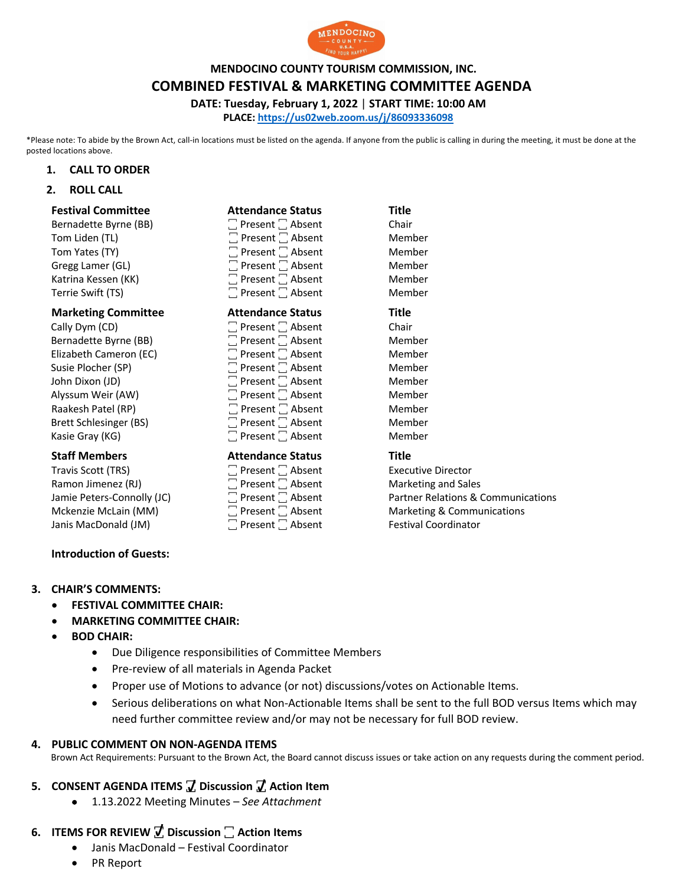

### **MENDOCINO COUNTY TOURISM COMMISSION, INC.**

**COMBINED FESTIVAL & MARKETING COMMITTEE AGENDA**

**DATE: Tuesday, February 1, 2022** | **START TIME: 10:00 AM**

**PLACE: https://us02web.zoom.us/j/86093336098**

\*Please note: To abide by the Brown Act, call-in locations must be listed on the agenda. If anyone from the public is calling in during the meeting, it must be done at the posted locations above.

### **1. CALL TO ORDER**

**2. ROLL CALL**

| <b>Festival Committee</b>  | <b>Attendance Status</b>     | <b>Title</b> |
|----------------------------|------------------------------|--------------|
| Bernadette Byrne (BB)      | $\Box$ Present $\Box$ Absent | Chair        |
| Tom Liden (TL)             | $\Box$ Present $\Box$ Absent | Member       |
| Tom Yates (TY)             | $\Box$ Present $\Box$ Absent | Member       |
| Gregg Lamer (GL)           | $\Box$ Present $\Box$ Absent | Member       |
| Katrina Kessen (KK)        | $\Box$ Present $\Box$ Absent | Member       |
| Terrie Swift (TS)          | $\Box$ Present $\Box$ Absent | Member       |
| <b>Marketing Committee</b> | <b>Attendance Status</b>     | Title        |
| Cally Dym (CD)             | $\Box$ Present $\Box$ Absent | Chair        |
| Bernadette Byrne (BB)      | $\Box$ Present $\Box$ Absent | Member       |
| Elizabeth Cameron (EC)     | $\Box$ Present $\Box$ Absent | Member       |
| Susie Plocher (SP)         | $\Box$ Present $\Box$ Absent | Member       |
| John Dixon (JD)            | $\Box$ Present $\Box$ Absent | Member       |
| Alyssum Weir (AW)          | $\Box$ Present $\Box$ Absent | Member       |
| Raakesh Patel (RP)         | $\Box$ Present $\Box$ Absent | Member       |
| Brett Schlesinger (BS)     | $\Box$ Present $\Box$ Absent | Member       |
| Kasie Gray (KG)            | $\Box$ Present $\Box$ Absent | Member       |
| <b>Staff Members</b>       | <b>Attendance Status</b>     | <b>Title</b> |

Travis Scott (TRS)  $\Box$  Present  $\Box$  Absent Absent Executive Director Ramon Jimenez (RJ)  $\Box$  Present  $\Box$  Absent Marketing and Sales Janis MacDonald (JM) ꙱ Present ꙱ Absent Festival Coordinator

Jamie Peters-Connolly (JC)  $\Box$  Present  $\Box$  Absent Partner Relations & Communications<br>
Marketing & Communications  $\Box$  Present  $\Box$  Absent Marketing & Communications Mckenzie McLain (MM)  $\Box$  Present  $\Box$  Absent Marketing & Communications

## **Introduction of Guests:**

## **3. CHAIR'S COMMENTS:**

- **FESTIVAL COMMITTEE CHAIR:**
- **MARKETING COMMITTEE CHAIR:**
- **BOD CHAIR:**
	- Due Diligence responsibilities of Committee Members
	- Pre-review of all materials in Agenda Packet
	- Proper use of Motions to advance (or not) discussions/votes on Actionable Items.
	- Serious deliberations on what Non-Actionable Items shall be sent to the full BOD versus Items which may need further committee review and/or may not be necessary for full BOD review.

## **4. PUBLIC COMMENT ON NON-AGENDA ITEMS**

Brown Act Requirements: Pursuant to the Brown Act, the Board cannot discuss issues or take action on any requests during the comment period.

## **5. CONSENT AGENDA ITEMS ꙱ Discussion ꙱ Action Item**

• 1.13.2022 Meeting Minutes – *See Attachment*

# **6. ITEMS FOR REVIEW ꙱ Discussion ꙱ Action Items**

- Janis MacDonald Festival Coordinator
- PR Report